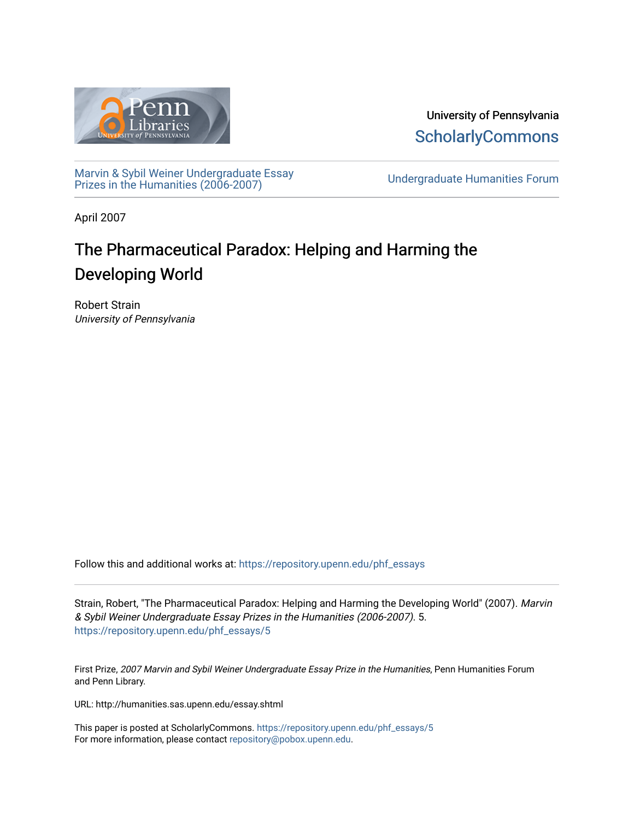

University of Pennsylvania **ScholarlyCommons** 

[Marvin & Sybil Weiner Undergraduate Essay](https://repository.upenn.edu/phf_essays)  [Prizes in the Humanities \(2006-2007\)](https://repository.upenn.edu/phf_essays) [Undergraduate Humanities Forum](https://repository.upenn.edu/undergrad_hum_forum) 

April 2007

## The Pharmaceutical Paradox: Helping and Harming the Developing World

Robert Strain University of Pennsylvania

Follow this and additional works at: [https://repository.upenn.edu/phf\\_essays](https://repository.upenn.edu/phf_essays?utm_source=repository.upenn.edu%2Fphf_essays%2F5&utm_medium=PDF&utm_campaign=PDFCoverPages) 

Strain, Robert, "The Pharmaceutical Paradox: Helping and Harming the Developing World" (2007). Marvin & Sybil Weiner Undergraduate Essay Prizes in the Humanities (2006-2007). 5. [https://repository.upenn.edu/phf\\_essays/5](https://repository.upenn.edu/phf_essays/5?utm_source=repository.upenn.edu%2Fphf_essays%2F5&utm_medium=PDF&utm_campaign=PDFCoverPages)

First Prize, 2007 Marvin and Sybil Weiner Undergraduate Essay Prize in the Humanities, Penn Humanities Forum and Penn Library.

URL: http://humanities.sas.upenn.edu/essay.shtml

This paper is posted at ScholarlyCommons. [https://repository.upenn.edu/phf\\_essays/5](https://repository.upenn.edu/phf_essays/5)  For more information, please contact [repository@pobox.upenn.edu.](mailto:repository@pobox.upenn.edu)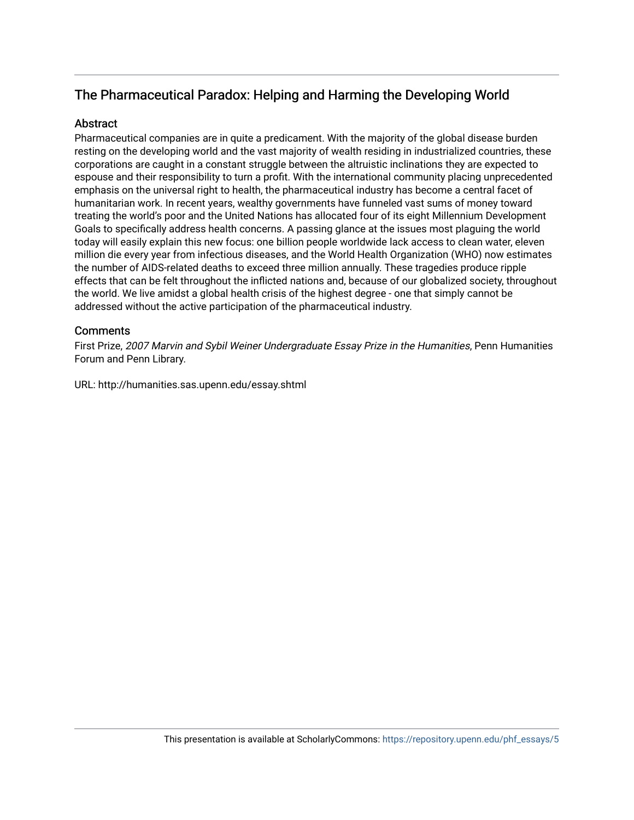### The Pharmaceutical Paradox: Helping and Harming the Developing World

#### **Abstract**

Pharmaceutical companies are in quite a predicament. With the majority of the global disease burden resting on the developing world and the vast majority of wealth residing in industrialized countries, these corporations are caught in a constant struggle between the altruistic inclinations they are expected to espouse and their responsibility to turn a profit. With the international community placing unprecedented emphasis on the universal right to health, the pharmaceutical industry has become a central facet of humanitarian work. In recent years, wealthy governments have funneled vast sums of money toward treating the world's poor and the United Nations has allocated four of its eight Millennium Development Goals to specifically address health concerns. A passing glance at the issues most plaguing the world today will easily explain this new focus: one billion people worldwide lack access to clean water, eleven million die every year from infectious diseases, and the World Health Organization (WHO) now estimates the number of AIDS-related deaths to exceed three million annually. These tragedies produce ripple effects that can be felt throughout the inflicted nations and, because of our globalized society, throughout the world. We live amidst a global health crisis of the highest degree - one that simply cannot be addressed without the active participation of the pharmaceutical industry.

#### **Comments**

First Prize, 2007 Marvin and Sybil Weiner Undergraduate Essay Prize in the Humanities, Penn Humanities Forum and Penn Library.

URL: http://humanities.sas.upenn.edu/essay.shtml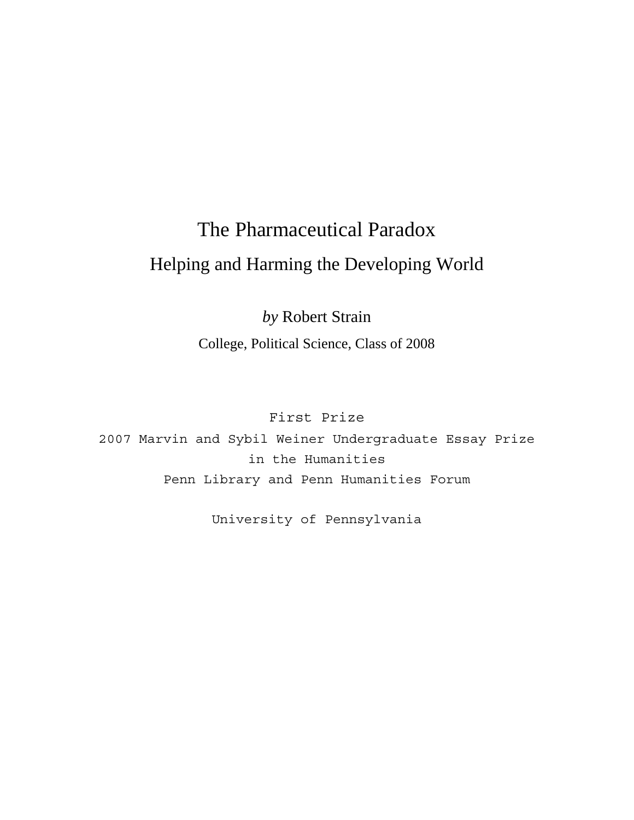# The Pharmaceutical Paradox Helping and Harming the Developing World

*by* Robert Strain College, Political Science, Class of 2008

First Prize

2007 Marvin and Sybil Weiner Undergraduate Essay Prize in the Humanities Penn Library and Penn Humanities Forum

University of Pennsylvania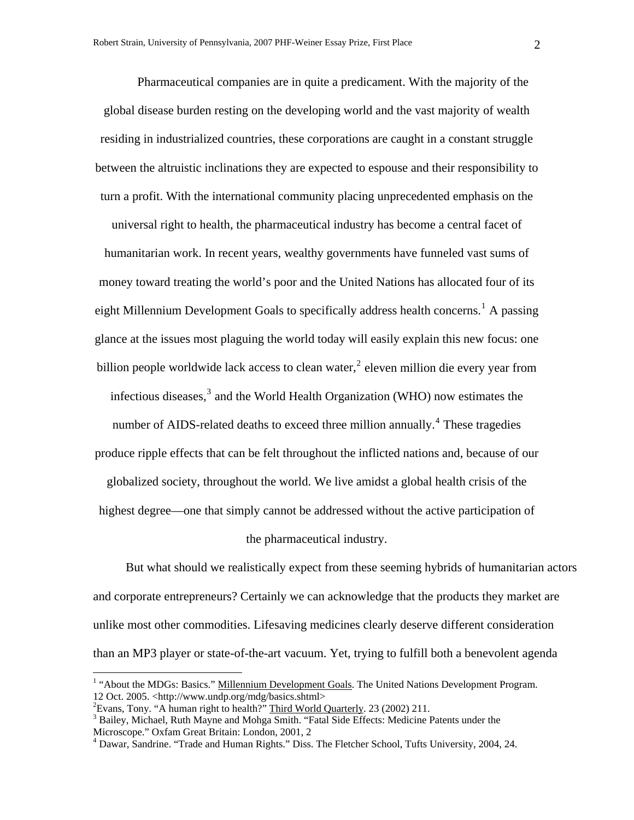Pharmaceutical companies are in quite a predicament. With the majority of the global disease burden resting on the developing world and the vast majority of wealth residing in industrialized countries, these corporations are caught in a constant struggle between the altruistic inclinations they are expected to espouse and their responsibility to turn a profit. With the international community placing unprecedented emphasis on the

universal right to health, the pharmaceutical industry has become a central facet of humanitarian work. In recent years, wealthy governments have funneled vast sums of money toward treating the world's poor and the United Nations has allocated four of its eight Millennium Development Goals to specifically address health concerns.<sup>[1](#page-3-0)</sup> A passing glance at the issues most plaguing the world today will easily explain this new focus: one billion people worldwide lack access to clean water, $2$  eleven million die every year from infectious diseases, $3$  and the World Health Organization (WHO) now estimates the

number of AIDS-related deaths to exceed three million annually.<sup>[4](#page-3-3)</sup> These tragedies produce ripple effects that can be felt throughout the inflicted nations and, because of our

globalized society, throughout the world. We live amidst a global health crisis of the

highest degree—one that simply cannot be addressed without the active participation of

#### the pharmaceutical industry.

 But what should we realistically expect from these seeming hybrids of humanitarian actors and corporate entrepreneurs? Certainly we can acknowledge that the products they market are unlike most other commodities. Lifesaving medicines clearly deserve different consideration than an MP3 player or state-of-the-art vacuum. Yet, trying to fulfill both a benevolent agenda

<span id="page-3-0"></span><sup>&</sup>lt;sup>1</sup> "About the MDGs: Basics." Millennium Development Goals. The United Nations Development Program. 12 Oct. 2005. <http://www.undp.org/mdg/basics.shtml>

<span id="page-3-1"></span><sup>&</sup>lt;sup>2</sup> Evans, Tony. "A human right to health?"  $\underline{\text{Third World Quarterly}}$ . 23 (2002) 211.<br><sup>3</sup> Beilay, Michael, Buth Mayna and Mohae Smith. "Fetal Side Effects: Medicine I

<span id="page-3-2"></span> $3$  Bailey, Michael, Ruth Mayne and Mohga Smith. "Fatal Side Effects: Medicine Patents under the Microscope." Oxfam Great Britain: London, 2001, 2

<span id="page-3-3"></span><sup>&</sup>lt;sup>4</sup> Dawar, Sandrine. "Trade and Human Rights." Diss. The Fletcher School, Tufts University, 2004, 24.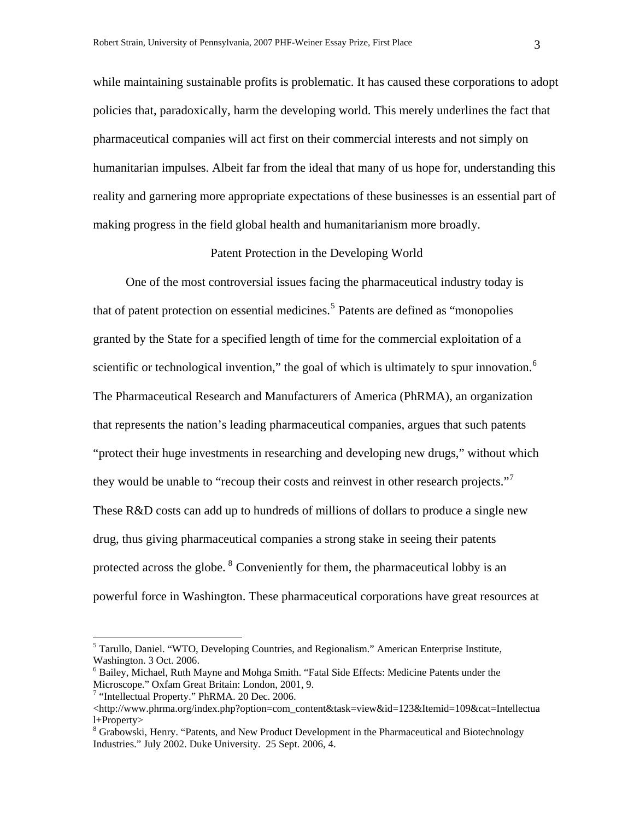while maintaining sustainable profits is problematic. It has caused these corporations to adopt policies that, paradoxically, harm the developing world. This merely underlines the fact that pharmaceutical companies will act first on their commercial interests and not simply on humanitarian impulses. Albeit far from the ideal that many of us hope for, understanding this reality and garnering more appropriate expectations of these businesses is an essential part of making progress in the field global health and humanitarianism more broadly.

#### Patent Protection in the Developing World

 One of the most controversial issues facing the pharmaceutical industry today is that of patent protection on essential medicines.<sup>[5](#page-4-0)</sup> Patents are defined as "monopolies" granted by the State for a specified length of time for the commercial exploitation of a scientific or technological invention," the goal of which is ultimately to spur innovation. $<sup>6</sup>$  $<sup>6</sup>$  $<sup>6</sup>$ </sup> The Pharmaceutical Research and Manufacturers of America (PhRMA), an organization that represents the nation's leading pharmaceutical companies, argues that such patents "protect their huge investments in researching and developing new drugs," without which they would be unable to "recoup their costs and reinvest in other research projects." These R&D costs can add up to hundreds of millions of dollars to produce a single new drug, thus giving pharmaceutical companies a strong stake in seeing their patents protected across the globe. <sup>[8](#page-4-3)</sup> Conveniently for them, the pharmaceutical lobby is an powerful force in Washington. These pharmaceutical corporations have great resources at

 $\overline{a}$ 

<span id="page-4-0"></span><sup>&</sup>lt;sup>5</sup> Tarullo, Daniel. "WTO, Developing Countries, and Regionalism." American Enterprise Institute, Washington. 3 Oct. 2006.

<span id="page-4-1"></span><sup>&</sup>lt;sup>6</sup> Bailey, Michael, Ruth Mayne and Mohga Smith. "Fatal Side Effects: Medicine Patents under the Microscope." Oxfam Great Britain: London, 2001, 9.

<span id="page-4-2"></span><sup>&</sup>lt;sup>7</sup> "Intellectual Property." PhRMA. 20 Dec. 2006.

<sup>&</sup>lt;http://www.phrma.org/index.php?option=com\_content&task=view&id=123&Itemid=109&cat=Intellectua l+Property>

<span id="page-4-3"></span><sup>&</sup>lt;sup>8</sup> Grabowski, Henry. "Patents, and New Product Development in the Pharmaceutical and Biotechnology Industries." July 2002. Duke University. 25 Sept. 2006, 4.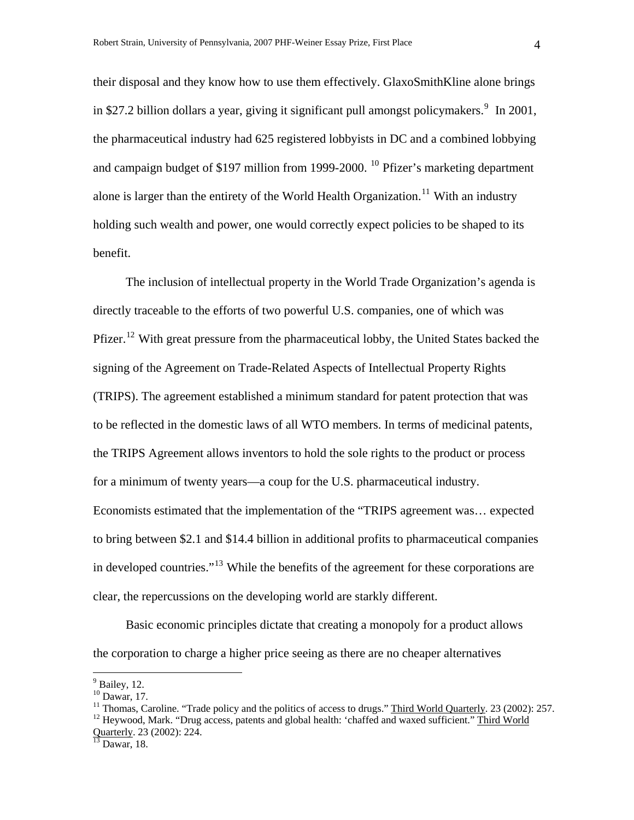their disposal and they know how to use them effectively. GlaxoSmithKline alone brings in \$27.2 billion dollars a year, giving it significant pull amongst policymakers.  $9 \text{ In } 2001$  $9 \text{ In } 2001$ , the pharmaceutical industry had 625 registered lobbyists in DC and a combined lobbying and campaign budget of \$197 million from 1999-2000. <sup>[10](#page-5-1)</sup> Pfizer's marketing department alone is larger than the entirety of the World Health Organization.<sup>[11](#page-5-2)</sup> With an industry holding such wealth and power, one would correctly expect policies to be shaped to its benefit.

 The inclusion of intellectual property in the World Trade Organization's agenda is directly traceable to the efforts of two powerful U.S. companies, one of which was Pfizer.<sup>[12](#page-5-3)</sup> With great pressure from the pharmaceutical lobby, the United States backed the signing of the Agreement on Trade-Related Aspects of Intellectual Property Rights (TRIPS). The agreement established a minimum standard for patent protection that was to be reflected in the domestic laws of all WTO members. In terms of medicinal patents, the TRIPS Agreement allows inventors to hold the sole rights to the product or process for a minimum of twenty years—a coup for the U.S. pharmaceutical industry. Economists estimated that the implementation of the "TRIPS agreement was… expected to bring between \$2.1 and \$14.4 billion in additional profits to pharmaceutical companies in developed countries."<sup>[13](#page-5-4)</sup> While the benefits of the agreement for these corporations are clear, the repercussions on the developing world are starkly different.

 Basic economic principles dictate that creating a monopoly for a product allows the corporation to charge a higher price seeing as there are no cheaper alternatives

 $\overline{a}$ 

<span id="page-5-3"></span><span id="page-5-2"></span><span id="page-5-1"></span><sup>11</sup> Thomas, Caroline. "Trade policy and the politics of access to drugs." Third World Quarterly. 23 (2002): 257. <sup>12</sup> Heywood, Mark. "Drug access, patents and global health: 'chaffed and waxed sufficient." Third World Quarterly. 23 (2002): 224.<br><sup>13</sup> Dawar, 18.

 $<sup>9</sup>$  Bailey, 12.</sup>

<span id="page-5-0"></span> $10$  Dawar, 17.

<span id="page-5-4"></span>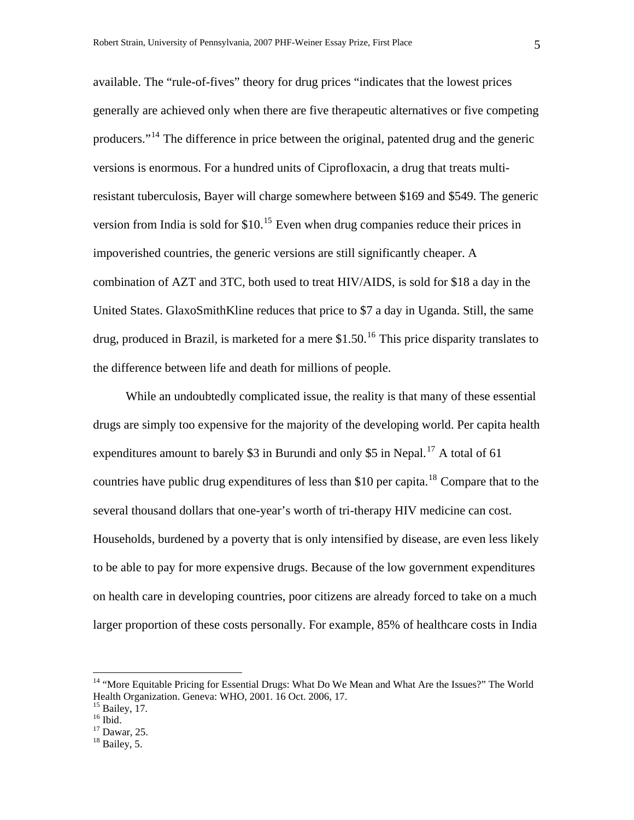available. The "rule-of-fives" theory for drug prices "indicates that the lowest prices generally are achieved only when there are five therapeutic alternatives or five competing producers."<sup>[14](#page-6-0)</sup> The difference in price between the original, patented drug and the generic versions is enormous. For a hundred units of Ciprofloxacin, a drug that treats multiresistant tuberculosis, Bayer will charge somewhere between \$169 and \$549. The generic version from India is sold for  $$10<sup>15</sup>$  $$10<sup>15</sup>$  $$10<sup>15</sup>$  Even when drug companies reduce their prices in impoverished countries, the generic versions are still significantly cheaper. A combination of AZT and 3TC, both used to treat HIV/AIDS, is sold for \$18 a day in the United States. GlaxoSmithKline reduces that price to \$7 a day in Uganda. Still, the same drug, produced in Brazil, is marketed for a mere  $$1.50<sup>16</sup>$  $$1.50<sup>16</sup>$  $$1.50<sup>16</sup>$  This price disparity translates to the difference between life and death for millions of people.

 While an undoubtedly complicated issue, the reality is that many of these essential drugs are simply too expensive for the majority of the developing world. Per capita health expenditures amount to barely \$3 in Burundi and only \$5 in Nepal.<sup>[17](#page-6-3)</sup> A total of 61 countries have public drug expenditures of less than \$10 per capita.<sup>[18](#page-6-4)</sup> Compare that to the several thousand dollars that one-year's worth of tri-therapy HIV medicine can cost. Households, burdened by a poverty that is only intensified by disease, are even less likely to be able to pay for more expensive drugs. Because of the low government expenditures on health care in developing countries, poor citizens are already forced to take on a much larger proportion of these costs personally. For example, 85% of healthcare costs in India

 $\overline{a}$ 

<span id="page-6-0"></span><sup>&</sup>lt;sup>14</sup> "More Equitable Pricing for Essential Drugs: What Do We Mean and What Are the Issues?" The World Health Organization. Geneva: WHO, 2001. 16 Oct. 2006, 17.

<span id="page-6-1"></span><sup>&</sup>lt;sup>15</sup> Bailey, 17.

<span id="page-6-2"></span> $16$  Ibid.

<span id="page-6-3"></span><sup>17</sup> Dawar, 25.

<span id="page-6-4"></span> $18$  Bailey, 5.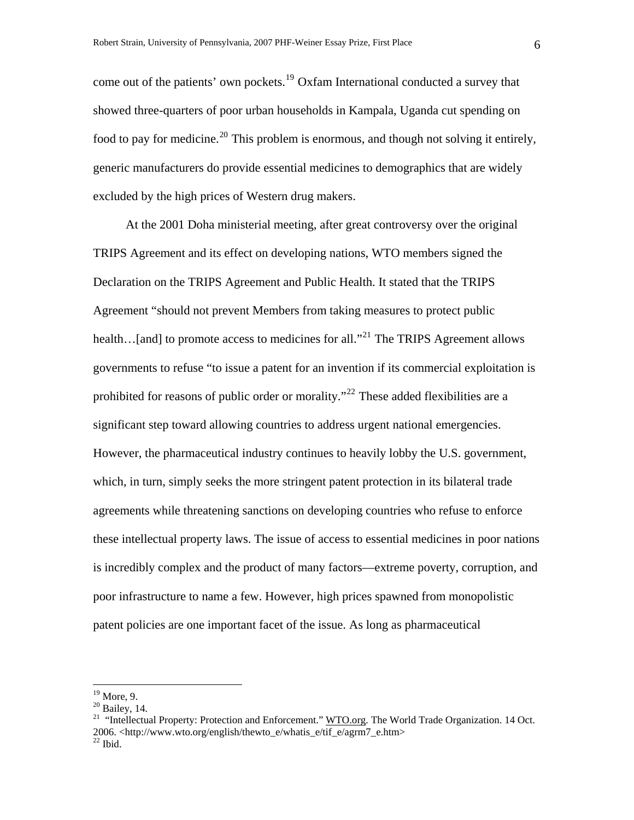come out of the patients' own pockets.<sup>[19](#page-7-0)</sup> Oxfam International conducted a survey that showed three-quarters of poor urban households in Kampala, Uganda cut spending on food to pay for medicine.<sup>[20](#page-7-1)</sup> This problem is enormous, and though not solving it entirely, generic manufacturers do provide essential medicines to demographics that are widely excluded by the high prices of Western drug makers.

 At the 2001 Doha ministerial meeting, after great controversy over the original TRIPS Agreement and its effect on developing nations, WTO members signed the Declaration on the TRIPS Agreement and Public Health. It stated that the TRIPS Agreement "should not prevent Members from taking measures to protect public health... [and] to promote access to medicines for all."<sup>[21](#page-7-2)</sup> The TRIPS Agreement allows governments to refuse "to issue a patent for an invention if its commercial exploitation is prohibited for reasons of public order or morality."<sup>[22](#page-7-3)</sup> These added flexibilities are a significant step toward allowing countries to address urgent national emergencies. However, the pharmaceutical industry continues to heavily lobby the U.S. government, which, in turn, simply seeks the more stringent patent protection in its bilateral trade agreements while threatening sanctions on developing countries who refuse to enforce these intellectual property laws. The issue of access to essential medicines in poor nations is incredibly complex and the product of many factors—extreme poverty, corruption, and poor infrastructure to name a few. However, high prices spawned from monopolistic patent policies are one important facet of the issue. As long as pharmaceutical

 $19$  More, 9.

<span id="page-7-1"></span><span id="page-7-0"></span><sup>20</sup> Bailey, 14.

<span id="page-7-3"></span><span id="page-7-2"></span><sup>&</sup>lt;sup>21</sup> "Intellectual Property: Protection and Enforcement." WTO.org. The World Trade Organization. 14 Oct. 2006. <http://www.wto.org/english/thewto\_e/whatis\_e/tif\_e/agrm7\_e.htm> 22 Ibid.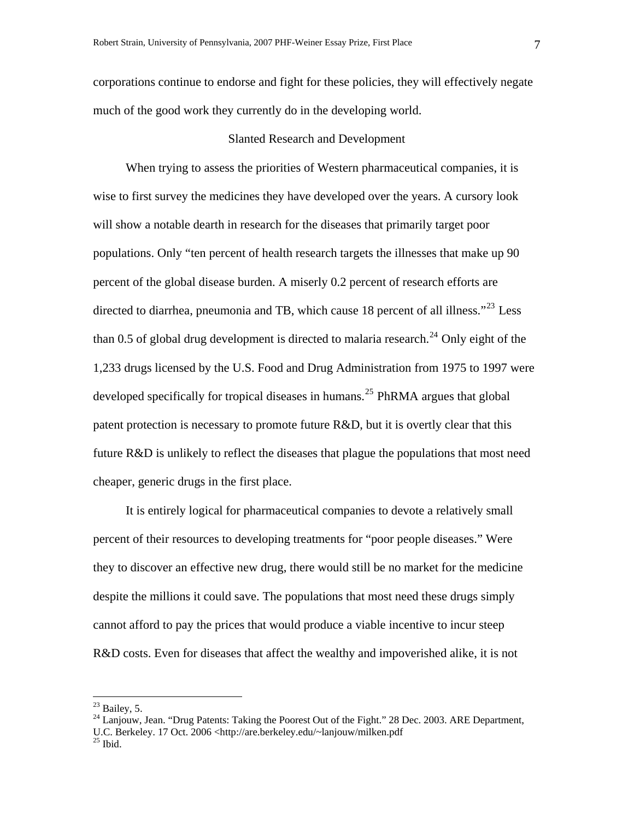corporations continue to endorse and fight for these policies, they will effectively negate much of the good work they currently do in the developing world.

#### Slanted Research and Development

 When trying to assess the priorities of Western pharmaceutical companies, it is wise to first survey the medicines they have developed over the years. A cursory look will show a notable dearth in research for the diseases that primarily target poor populations. Only "ten percent of health research targets the illnesses that make up 90 percent of the global disease burden. A miserly 0.2 percent of research efforts are directed to diarrhea, pneumonia and TB, which cause 18 percent of all illness."<sup>[23](#page-8-0)</sup> Less than 0.5 of global drug development is directed to malaria research.<sup>[24](#page-8-1)</sup> Only eight of the 1,233 drugs licensed by the U.S. Food and Drug Administration from 1975 to 1997 were developed specifically for tropical diseases in humans.<sup>[25](#page-8-2)</sup> PhRMA argues that global patent protection is necessary to promote future R&D, but it is overtly clear that this future R&D is unlikely to reflect the diseases that plague the populations that most need cheaper, generic drugs in the first place.

 It is entirely logical for pharmaceutical companies to devote a relatively small percent of their resources to developing treatments for "poor people diseases." Were they to discover an effective new drug, there would still be no market for the medicine despite the millions it could save. The populations that most need these drugs simply cannot afford to pay the prices that would produce a viable incentive to incur steep R&D costs. Even for diseases that affect the wealthy and impoverished alike, it is not

<span id="page-8-0"></span> $^{23}$  Bailey, 5.

<span id="page-8-1"></span><sup>&</sup>lt;sup>24</sup> Lanjouw, Jean. "Drug Patents: Taking the Poorest Out of the Fight." 28 Dec. 2003. ARE Department,

<span id="page-8-2"></span>U.C. Berkeley. 17 Oct. 2006 <http://are.berkeley.edu/~lanjouw/milken.pdf <sup>25</sup> Ibid.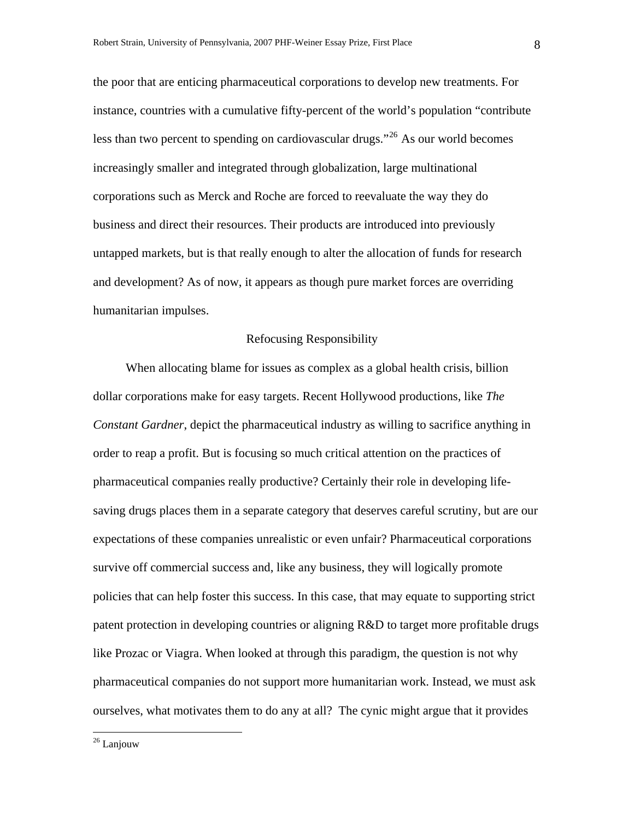the poor that are enticing pharmaceutical corporations to develop new treatments. For instance, countries with a cumulative fifty-percent of the world's population "contribute less than two percent to spending on cardiovascular drugs."<sup>[26](#page-9-0)</sup> As our world becomes increasingly smaller and integrated through globalization, large multinational corporations such as Merck and Roche are forced to reevaluate the way they do business and direct their resources. Their products are introduced into previously untapped markets, but is that really enough to alter the allocation of funds for research and development? As of now, it appears as though pure market forces are overriding humanitarian impulses.

#### Refocusing Responsibility

 When allocating blame for issues as complex as a global health crisis, billion dollar corporations make for easy targets. Recent Hollywood productions, like *The Constant Gardner*, depict the pharmaceutical industry as willing to sacrifice anything in order to reap a profit. But is focusing so much critical attention on the practices of pharmaceutical companies really productive? Certainly their role in developing lifesaving drugs places them in a separate category that deserves careful scrutiny, but are our expectations of these companies unrealistic or even unfair? Pharmaceutical corporations survive off commercial success and, like any business, they will logically promote policies that can help foster this success. In this case, that may equate to supporting strict patent protection in developing countries or aligning R&D to target more profitable drugs like Prozac or Viagra. When looked at through this paradigm, the question is not why pharmaceutical companies do not support more humanitarian work. Instead, we must ask ourselves, what motivates them to do any at all? The cynic might argue that it provides

<span id="page-9-0"></span><sup>&</sup>lt;sup>26</sup> Lanjouw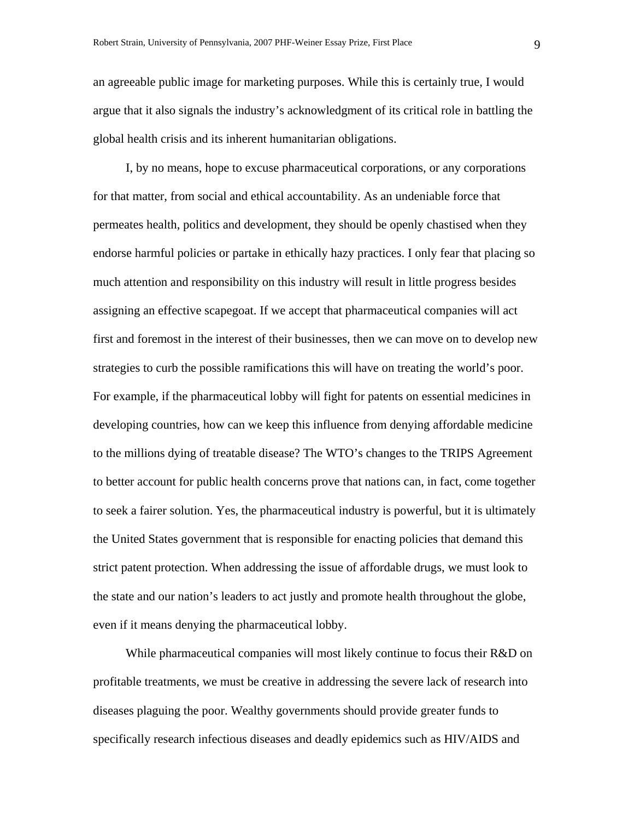an agreeable public image for marketing purposes. While this is certainly true, I would argue that it also signals the industry's acknowledgment of its critical role in battling the global health crisis and its inherent humanitarian obligations.

 I, by no means, hope to excuse pharmaceutical corporations, or any corporations for that matter, from social and ethical accountability. As an undeniable force that permeates health, politics and development, they should be openly chastised when they endorse harmful policies or partake in ethically hazy practices. I only fear that placing so much attention and responsibility on this industry will result in little progress besides assigning an effective scapegoat. If we accept that pharmaceutical companies will act first and foremost in the interest of their businesses, then we can move on to develop new strategies to curb the possible ramifications this will have on treating the world's poor. For example, if the pharmaceutical lobby will fight for patents on essential medicines in developing countries, how can we keep this influence from denying affordable medicine to the millions dying of treatable disease? The WTO's changes to the TRIPS Agreement to better account for public health concerns prove that nations can, in fact, come together to seek a fairer solution. Yes, the pharmaceutical industry is powerful, but it is ultimately the United States government that is responsible for enacting policies that demand this strict patent protection. When addressing the issue of affordable drugs, we must look to the state and our nation's leaders to act justly and promote health throughout the globe, even if it means denying the pharmaceutical lobby.

While pharmaceutical companies will most likely continue to focus their R&D on profitable treatments, we must be creative in addressing the severe lack of research into diseases plaguing the poor. Wealthy governments should provide greater funds to specifically research infectious diseases and deadly epidemics such as HIV/AIDS and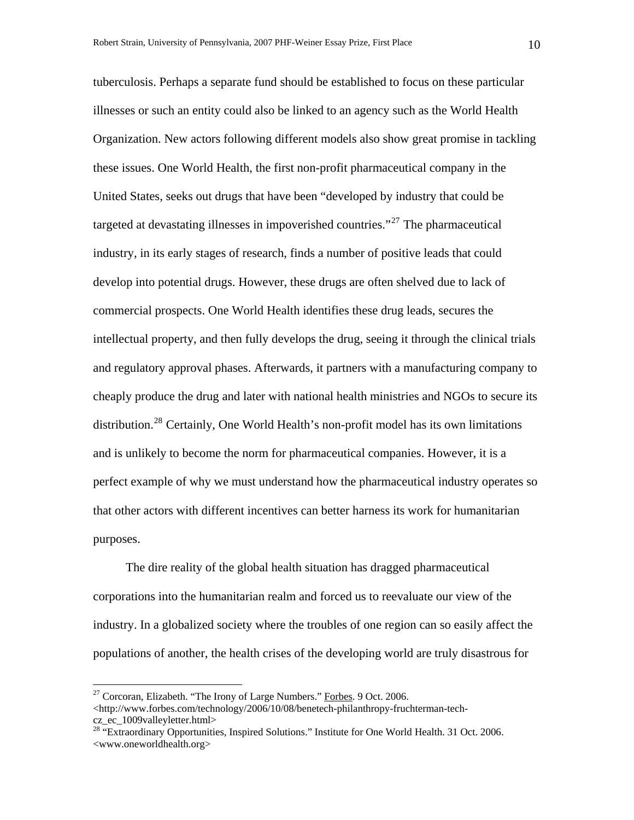tuberculosis. Perhaps a separate fund should be established to focus on these particular illnesses or such an entity could also be linked to an agency such as the World Health Organization. New actors following different models also show great promise in tackling these issues. One World Health, the first non-profit pharmaceutical company in the United States, seeks out drugs that have been "developed by industry that could be targeted at devastating illnesses in impoverished countries."<sup>[27](#page-11-0)</sup> The pharmaceutical industry, in its early stages of research, finds a number of positive leads that could develop into potential drugs. However, these drugs are often shelved due to lack of commercial prospects. One World Health identifies these drug leads, secures the intellectual property, and then fully develops the drug, seeing it through the clinical trials and regulatory approval phases. Afterwards, it partners with a manufacturing company to cheaply produce the drug and later with national health ministries and NGOs to secure its distribution.<sup>[28](#page-11-1)</sup> Certainly, One World Health's non-profit model has its own limitations and is unlikely to become the norm for pharmaceutical companies. However, it is a perfect example of why we must understand how the pharmaceutical industry operates so that other actors with different incentives can better harness its work for humanitarian purposes.

 The dire reality of the global health situation has dragged pharmaceutical corporations into the humanitarian realm and forced us to reevaluate our view of the industry. In a globalized society where the troubles of one region can so easily affect the populations of another, the health crises of the developing world are truly disastrous for

 $\overline{a}$ 

<span id="page-11-0"></span> $27$  Corcoran, Elizabeth. "The Irony of Large Numbers." Forbes. 9 Oct. 2006.  $\langle$ http://www.forbes.com/technology/2006/10/08/benetech-philanthropy-fruchterman-techcz\_ec\_1009valleyletter.html>

<span id="page-11-1"></span><sup>&</sup>lt;sup>28</sup> "Extraordinary Opportunities, Inspired Solutions." Institute for One World Health. 31 Oct. 2006. <www.oneworldhealth.org>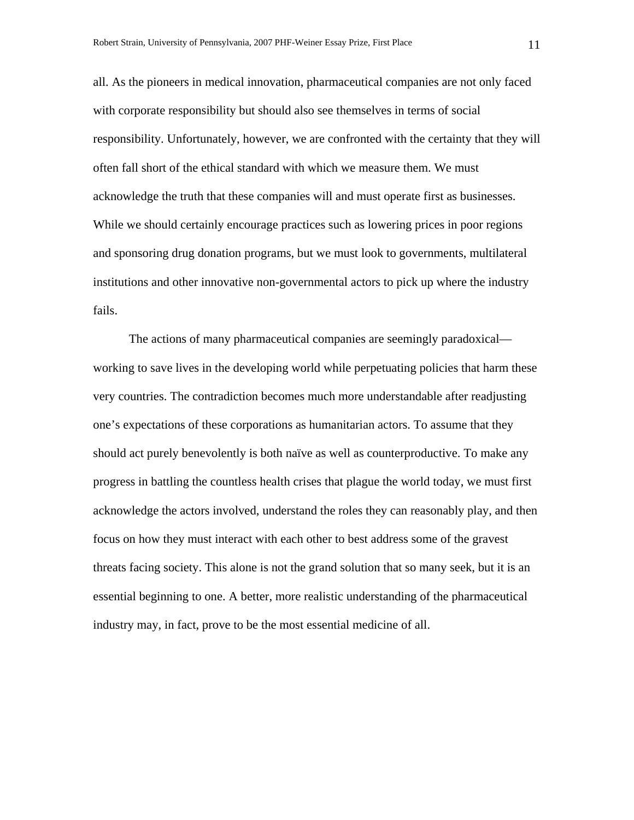all. As the pioneers in medical innovation, pharmaceutical companies are not only faced with corporate responsibility but should also see themselves in terms of social responsibility. Unfortunately, however, we are confronted with the certainty that they will often fall short of the ethical standard with which we measure them. We must acknowledge the truth that these companies will and must operate first as businesses. While we should certainly encourage practices such as lowering prices in poor regions and sponsoring drug donation programs, but we must look to governments, multilateral institutions and other innovative non-governmental actors to pick up where the industry fails.

 The actions of many pharmaceutical companies are seemingly paradoxical working to save lives in the developing world while perpetuating policies that harm these very countries. The contradiction becomes much more understandable after readjusting one's expectations of these corporations as humanitarian actors. To assume that they should act purely benevolently is both naïve as well as counterproductive. To make any progress in battling the countless health crises that plague the world today, we must first acknowledge the actors involved, understand the roles they can reasonably play, and then focus on how they must interact with each other to best address some of the gravest threats facing society. This alone is not the grand solution that so many seek, but it is an essential beginning to one. A better, more realistic understanding of the pharmaceutical industry may, in fact, prove to be the most essential medicine of all.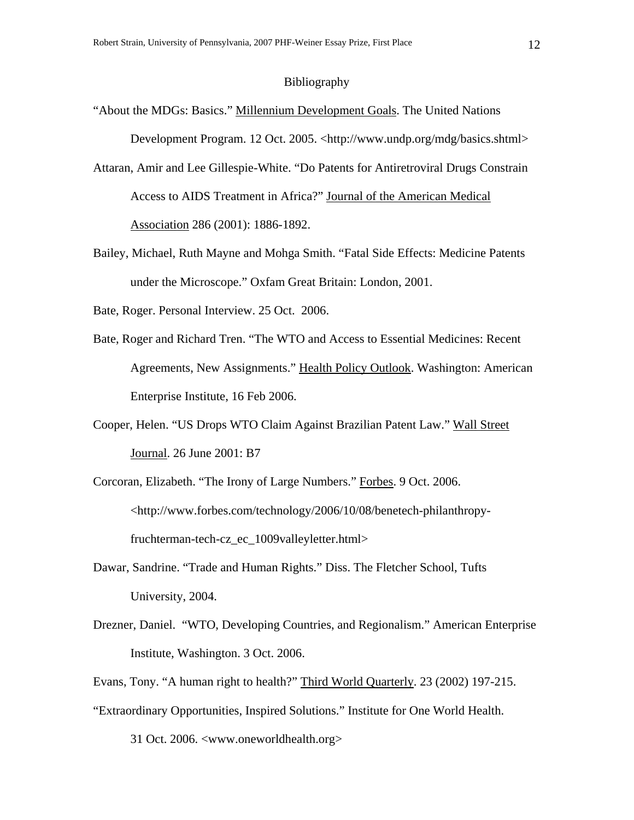#### Bibliography

- "About the MDGs: Basics." Millennium Development Goals. The United Nations Development Program. 12 Oct. 2005. <http://www.undp.org/mdg/basics.shtml>
- Attaran, Amir and Lee Gillespie-White. "Do Patents for Antiretroviral Drugs Constrain Access to AIDS Treatment in Africa?" Journal of the American Medical Association 286 (2001): 1886-1892.
- Bailey, Michael, Ruth Mayne and Mohga Smith. "Fatal Side Effects: Medicine Patents under the Microscope." Oxfam Great Britain: London, 2001.

Bate, Roger. Personal Interview. 25 Oct. 2006.

- Bate, Roger and Richard Tren. "The WTO and Access to Essential Medicines: Recent Agreements, New Assignments." Health Policy Outlook. Washington: American Enterprise Institute, 16 Feb 2006.
- Cooper, Helen. "US Drops WTO Claim Against Brazilian Patent Law." Wall Street Journal. 26 June 2001: B7
- Corcoran, Elizabeth. "The Irony of Large Numbers." Forbes. 9 Oct. 2006. <http://www.forbes.com/technology/2006/10/08/benetech-philanthropyfruchterman-tech-cz\_ec\_1009valleyletter.html>
- Dawar, Sandrine. "Trade and Human Rights." Diss. The Fletcher School, Tufts University, 2004.
- Drezner, Daniel. "WTO, Developing Countries, and Regionalism." American Enterprise Institute, Washington. 3 Oct. 2006.
- Evans, Tony. "A human right to health?" Third World Quarterly. 23 (2002) 197-215.
- "Extraordinary Opportunities, Inspired Solutions." Institute for One World Health. 31 Oct. 2006. <www.oneworldhealth.org>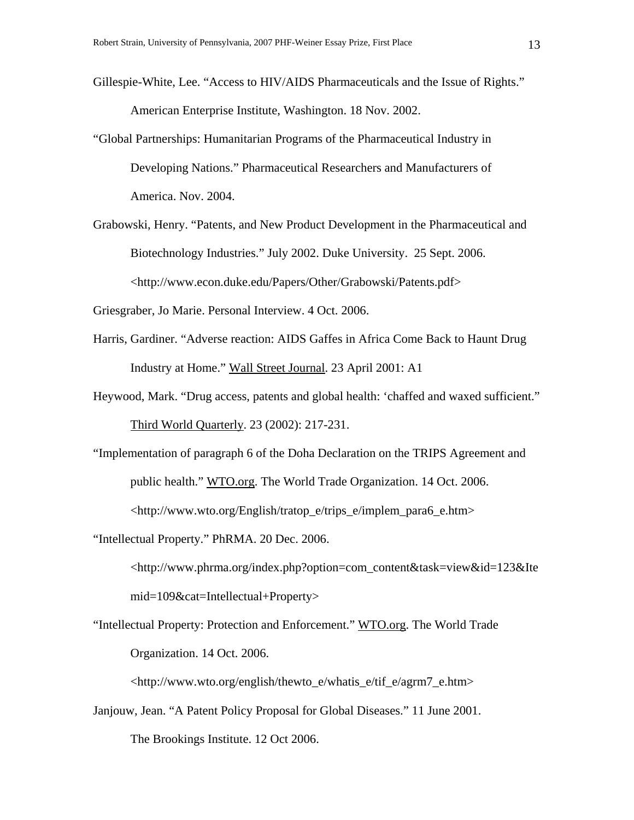- Gillespie-White, Lee. "Access to HIV/AIDS Pharmaceuticals and the Issue of Rights." American Enterprise Institute, Washington. 18 Nov. 2002.
- "Global Partnerships: Humanitarian Programs of the Pharmaceutical Industry in Developing Nations." Pharmaceutical Researchers and Manufacturers of America. Nov. 2004.
- Grabowski, Henry. "Patents, and New Product Development in the Pharmaceutical and Biotechnology Industries." July 2002. Duke University. 25 Sept. 2006. <http://www.econ.duke.edu/Papers/Other/Grabowski/Patents.pdf>
- Griesgraber, Jo Marie. Personal Interview. 4 Oct. 2006.
- Harris, Gardiner. "Adverse reaction: AIDS Gaffes in Africa Come Back to Haunt Drug Industry at Home." Wall Street Journal. 23 April 2001: A1
- Heywood, Mark. "Drug access, patents and global health: 'chaffed and waxed sufficient." Third World Quarterly. 23 (2002): 217-231.
- "Implementation of paragraph 6 of the Doha Declaration on the TRIPS Agreement and public health." WTO.org. The World Trade Organization. 14 Oct. 2006. <http://www.wto.org/English/tratop\_e/trips\_e/implem\_para6\_e.htm>

"Intellectual Property." PhRMA. 20 Dec. 2006.

<http://www.phrma.org/index.php?option=com\_content&task=view&id=123&Ite mid=109&cat=Intellectual+Property>

"Intellectual Property: Protection and Enforcement." WTO.org. The World Trade Organization. 14 Oct. 2006.

<http://www.wto.org/english/thewto\_e/whatis\_e/tif\_e/agrm7\_e.htm>

Janjouw, Jean. "A Patent Policy Proposal for Global Diseases." 11 June 2001. The Brookings Institute. 12 Oct 2006.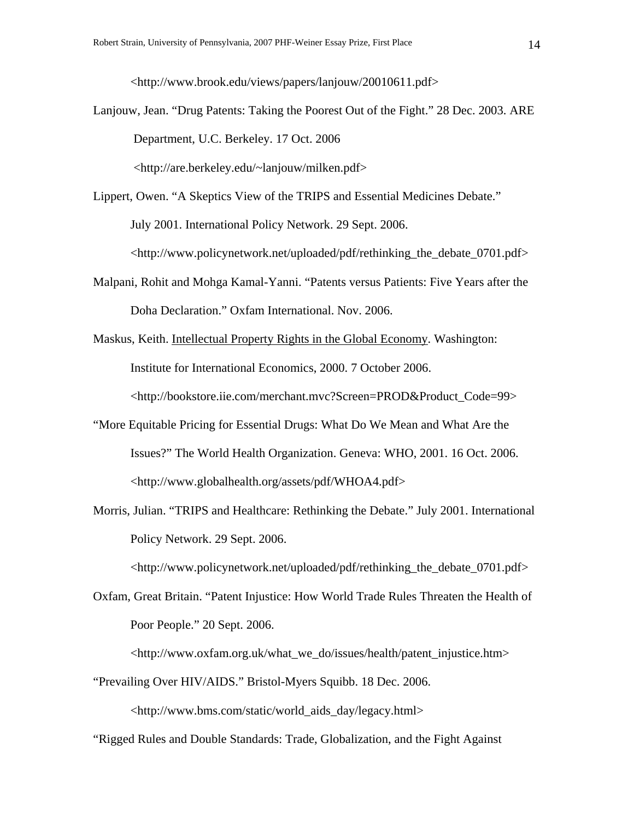<http://www.brook.edu/views/papers/lanjouw/20010611.pdf>

Lanjouw, Jean. "Drug Patents: Taking the Poorest Out of the Fight." 28 Dec. 2003. ARE Department, U.C. Berkeley. 17 Oct. 2006

<http://are.berkeley.edu/~lanjouw/milken.pdf>

- Lippert, Owen. "A Skeptics View of the TRIPS and Essential Medicines Debate." July 2001. International Policy Network. 29 Sept. 2006. <http://www.policynetwork.net/uploaded/pdf/rethinking\_the\_debate\_0701.pdf>
- Malpani, Rohit and Mohga Kamal-Yanni. "Patents versus Patients: Five Years after the Doha Declaration." Oxfam International. Nov. 2006.
- Maskus, Keith. Intellectual Property Rights in the Global Economy. Washington: Institute for International Economics, 2000. 7 October 2006. <http://bookstore.iie.com/merchant.mvc?Screen=PROD&Product\_Code=99>
- "More Equitable Pricing for Essential Drugs: What Do We Mean and What Are the Issues?" The World Health Organization. Geneva: WHO, 2001. 16 Oct. 2006. <http://www.globalhealth.org/assets/pdf/WHOA4.pdf>
- Morris, Julian. "TRIPS and Healthcare: Rethinking the Debate." July 2001. International Policy Network. 29 Sept. 2006.

<http://www.policynetwork.net/uploaded/pdf/rethinking\_the\_debate\_0701.pdf>

Oxfam, Great Britain. "Patent Injustice: How World Trade Rules Threaten the Health of Poor People." 20 Sept. 2006.

<http://www.oxfam.org.uk/what\_we\_do/issues/health/patent\_injustice.htm>

"Prevailing Over HIV/AIDS." Bristol-Myers Squibb. 18 Dec. 2006.

<http://www.bms.com/static/world\_aids\_day/legacy.html>

"Rigged Rules and Double Standards: Trade, Globalization, and the Fight Against